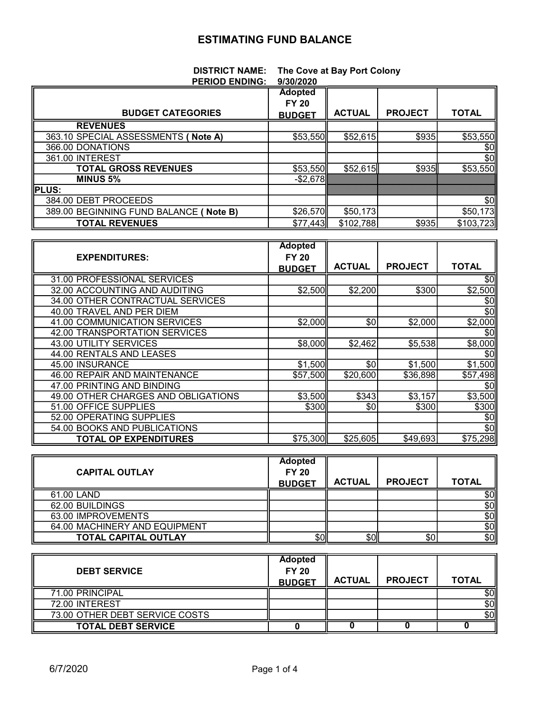## ESTIMATING FUND BALANCE

|                | <b>DISTRICT NAME:</b> The Cove at Bay Port Colony |
|----------------|---------------------------------------------------|
| BEBIAR FURIUA. | $\left\  \right\ $                                |

| <b>PERIOD ENDING:</b>                  | 9/30/2020      |               |                |              |
|----------------------------------------|----------------|---------------|----------------|--------------|
|                                        | <b>Adopted</b> |               |                |              |
|                                        | <b>FY 20</b>   |               |                |              |
| <b>BUDGET CATEGORIES</b>               | <b>BUDGET</b>  | <b>ACTUAL</b> | <b>PROJECT</b> | <b>TOTAL</b> |
| <b>REVENUES</b>                        |                |               |                |              |
| 363.10 SPECIAL ASSESSMENTS ( Note A)   | \$53,550       | \$52,615      | \$935          | \$53,550     |
| 366.00 DONATIONS                       |                |               |                | \$0          |
| 361.00 INTEREST                        |                |               |                | \$0          |
| <b>TOTAL GROSS REVENUES</b>            | \$53,550       | \$52,615      | \$935          | \$53,550     |
| <b>MINUS 5%</b>                        | $-$ \$2,678    |               |                |              |
| <b>PLUS:</b>                           |                |               |                |              |
| 384.00 DEBT PROCEEDS                   |                |               |                | \$0          |
| 389.00 BEGINNING FUND BALANCE (Note B) | \$26,570       | \$50,173      |                | \$50,173     |
| <b>TOTAL REVENUES</b>                  | \$77,443       | \$102,788     | \$935          | \$103,723    |

|                                     | <b>Adopted</b> |               |                |              |
|-------------------------------------|----------------|---------------|----------------|--------------|
| <b>EXPENDITURES:</b>                | <b>FY 20</b>   |               |                |              |
|                                     | <b>BUDGET</b>  | <b>ACTUAL</b> | <b>PROJECT</b> | <b>TOTAL</b> |
| 31.00 PROFESSIONAL SERVICES         |                |               |                | \$0          |
| 32.00 ACCOUNTING AND AUDITING       | \$2,500        | \$2,200       | \$300          | \$2,500      |
| 34.00 OTHER CONTRACTUAL SERVICES    |                |               |                | \$0          |
| 40.00 TRAVEL AND PER DIEM           |                |               |                | \$0          |
| 41.00 COMMUNICATION SERVICES        | \$2,000        | \$0           | \$2,000        | \$2,000      |
| 42.00 TRANSPORTATION SERVICES       |                |               |                | \$0          |
| 43.00 UTILITY SERVICES              | \$8,000        | \$2,462       | \$5,538        | \$8,000      |
| 44.00 RENTALS AND LEASES            |                |               |                | \$0          |
| 45.00 INSURANCE                     | \$1,500        | \$0           | \$1,500        | \$1,500      |
| 46.00 REPAIR AND MAINTENANCE        | \$57,500       | \$20,600      | \$36,898       | \$57,498     |
| 47.00 PRINTING AND BINDING          |                |               |                | \$0          |
| 49.00 OTHER CHARGES AND OBLIGATIONS | \$3,500        | \$343         | \$3,157        | \$3,500      |
| 51.00 OFFICE SUPPLIES               | \$300          | \$0           | \$300          | \$300        |
| 52.00 OPERATING SUPPLIES            |                |               |                | \$0          |
| 54.00 BOOKS AND PUBLICATIONS        |                |               |                | \$0          |
| <b>TOTAL OP EXPENDITURES</b>        | \$75,300 ll    | \$25,605      | \$49,693       | \$75,298     |

| <b>CAPITAL OUTLAY</b>         | <b>Adopted</b><br><b>FY 20</b><br><b>BUDGET</b> | <b>ACTUAL</b> | <b>PROJECT</b> | <b>TOTAL</b> |
|-------------------------------|-------------------------------------------------|---------------|----------------|--------------|
| 61.00 LAND                    |                                                 |               |                | \$이          |
| 62.00 BUILDINGS               |                                                 |               |                | \$0ll        |
| 63.00 IMPROVEMENTS            |                                                 |               |                | \$0ll        |
| 64.00 MACHINERY AND EQUIPMENT |                                                 |               |                | \$0          |
| <b>TOTAL CAPITAL OUTLAY</b>   | \$Oll                                           | \$Oll         | \$0            | \$이          |

| <b>DEBT SERVICE</b>            | <b>Adopted</b><br><b>FY 20</b><br><b>BUDGET</b> | <b>ACTUAL</b> | <b>PROJECT</b> | <b>TOTAL</b> |
|--------------------------------|-------------------------------------------------|---------------|----------------|--------------|
| 71.00 PRINCIPAL                |                                                 |               |                | \$٥Ι         |
| 72.00 INTEREST                 |                                                 |               |                | \$0          |
| 73.00 OTHER DEBT SERVICE COSTS |                                                 |               |                | \$0          |
| <b>TOTAL DEBT SERVICE</b>      |                                                 |               |                |              |